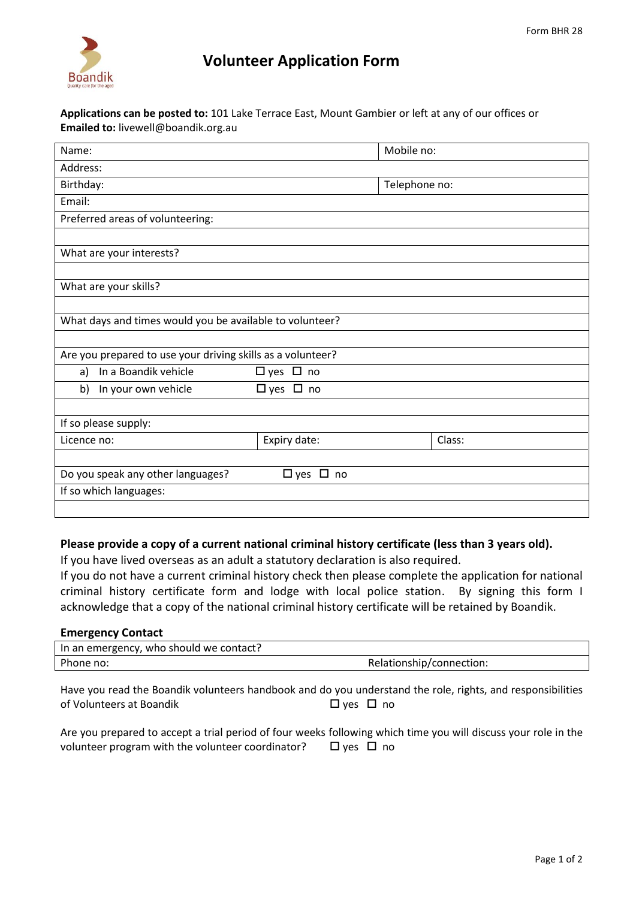

## **Volunteer Application Form**

**Applications can be posted to:** 101 Lake Terrace East, Mount Gambier or left at any of our offices or **Emailed to:** livewell@boandik.org.au

| Name:                                                       |                      | Mobile no:    |        |  |
|-------------------------------------------------------------|----------------------|---------------|--------|--|
| Address:                                                    |                      |               |        |  |
| Birthday:                                                   |                      | Telephone no: |        |  |
| Email:                                                      |                      |               |        |  |
| Preferred areas of volunteering:                            |                      |               |        |  |
|                                                             |                      |               |        |  |
| What are your interests?                                    |                      |               |        |  |
|                                                             |                      |               |        |  |
| What are your skills?                                       |                      |               |        |  |
|                                                             |                      |               |        |  |
| What days and times would you be available to volunteer?    |                      |               |        |  |
|                                                             |                      |               |        |  |
| Are you prepared to use your driving skills as a volunteer? |                      |               |        |  |
| In a Boandik vehicle<br>a)                                  | $\Box$ yes $\Box$ no |               |        |  |
| In your own vehicle<br>b)                                   | $\Box$ yes $\Box$ no |               |        |  |
|                                                             |                      |               |        |  |
| If so please supply:                                        |                      |               |        |  |
| Licence no:                                                 | Expiry date:         |               | Class: |  |
|                                                             |                      |               |        |  |
| Do you speak any other languages?<br>$\Box$ yes $\Box$ no   |                      |               |        |  |
| If so which languages:                                      |                      |               |        |  |
|                                                             |                      |               |        |  |

## **Please provide a copy of a current national criminal history certificate (less than 3 years old).**

If you have lived overseas as an adult a statutory declaration is also required.

If you do not have a current criminal history check then please complete the application for national criminal history certificate form and lodge with local police station. By signing this form I acknowledge that a copy of the national criminal history certificate will be retained by Boandik.

## **Emergency Contact**

| In an emergency, who should we contact? |                          |
|-----------------------------------------|--------------------------|
| Phone no:                               | Relationship/connection: |

Have you read the Boandik volunteers handbook and do you understand the role, rights, and responsibilities of Volunteers at Boandik  $\Box$  yes  $\Box$  no

| Are you prepared to accept a trial period of four weeks following which time you will discuss your role in the |            |
|----------------------------------------------------------------------------------------------------------------|------------|
| volunteer program with the volunteer coordinator?                                                              | □ yes □ no |